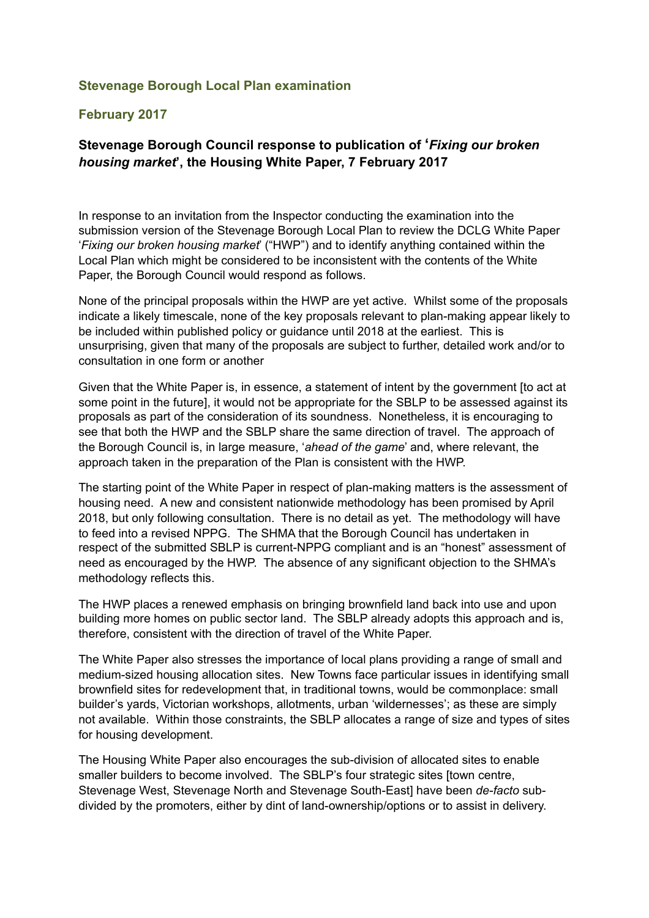## **Stevenage Borough Local Plan examination**

## **February 2017**

## **Stevenage Borough Council response to publication of '***Fixing our broken housing market***', the Housing White Paper, 7 February 2017**

In response to an invitation from the Inspector conducting the examination into the submission version of the Stevenage Borough Local Plan to review the DCLG White Paper '*Fixing our broken housing market*' ("HWP") and to identify anything contained within the Local Plan which might be considered to be inconsistent with the contents of the White Paper, the Borough Council would respond as follows.

None of the principal proposals within the HWP are yet active. Whilst some of the proposals indicate a likely timescale, none of the key proposals relevant to plan-making appear likely to be included within published policy or guidance until 2018 at the earliest. This is unsurprising, given that many of the proposals are subject to further, detailed work and/or to consultation in one form or another

Given that the White Paper is, in essence, a statement of intent by the government [to act at some point in the future], it would not be appropriate for the SBLP to be assessed against its proposals as part of the consideration of its soundness. Nonetheless, it is encouraging to see that both the HWP and the SBLP share the same direction of travel. The approach of the Borough Council is, in large measure, '*ahead of the game*' and, where relevant, the approach taken in the preparation of the Plan is consistent with the HWP.

The starting point of the White Paper in respect of plan-making matters is the assessment of housing need. A new and consistent nationwide methodology has been promised by April 2018, but only following consultation. There is no detail as yet. The methodology will have to feed into a revised NPPG. The SHMA that the Borough Council has undertaken in respect of the submitted SBLP is current-NPPG compliant and is an "honest" assessment of need as encouraged by the HWP. The absence of any significant objection to the SHMA's methodology reflects this.

The HWP places a renewed emphasis on bringing brownfield land back into use and upon building more homes on public sector land. The SBLP already adopts this approach and is, therefore, consistent with the direction of travel of the White Paper.

The White Paper also stresses the importance of local plans providing a range of small and medium-sized housing allocation sites. New Towns face particular issues in identifying small brownfield sites for redevelopment that, in traditional towns, would be commonplace: small builder's yards, Victorian workshops, allotments, urban 'wildernesses'; as these are simply not available. Within those constraints, the SBLP allocates a range of size and types of sites for housing development.

The Housing White Paper also encourages the sub-division of allocated sites to enable smaller builders to become involved. The SBLP's four strategic sites [town centre, Stevenage West, Stevenage North and Stevenage South-East] have been *de-facto* subdivided by the promoters, either by dint of land-ownership/options or to assist in delivery.